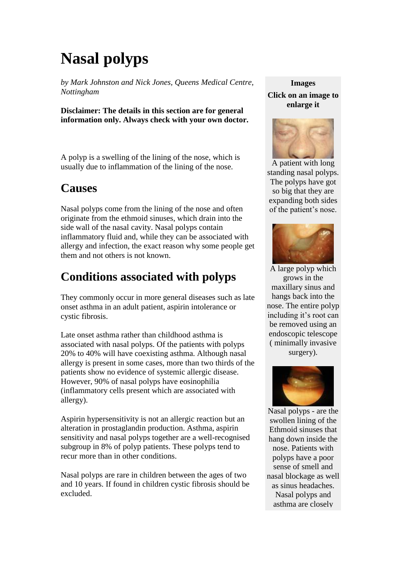# **Nasal polyps**

*by Mark Johnston and Nick Jones, Queens Medical Centre, Nottingham*

**Disclaimer: The details in this section are for general information only. Always check with your own doctor.**

A polyp is a swelling of the lining of the nose, which is usually due to inflammation of the lining of the nose.

#### **Causes**

Nasal polyps come from the lining of the nose and often originate from the ethmoid sinuses, which drain into the side wall of the nasal cavity. Nasal polyps contain inflammatory fluid and, while they can be associated with allergy and infection, the exact reason why some people get them and not others is not known.

# **Conditions associated with polyps**

They commonly occur in more general diseases such as late onset asthma in an adult patient, aspirin intolerance or cystic fibrosis.

Late onset asthma rather than childhood asthma is associated with nasal polyps. Of the patients with polyps 20% to 40% will have coexisting asthma. Although nasal allergy is present in some cases, more than two thirds of the patients show no evidence of systemic allergic disease. However, 90% of nasal polyps have eosinophilia (inflammatory cells present which are associated with allergy).

Aspirin hypersensitivity is not an allergic reaction but an alteration in prostaglandin production. Asthma, aspirin sensitivity and nasal polyps together are a well-recognised subgroup in 8% of polyp patients. These polyps tend to recur more than in other conditions.

Nasal polyps are rare in children between the ages of two and 10 years. If found in children cystic fibrosis should be excluded.

### **Images**

#### **Click on an image to enlarge it**



A patient with long standing nasal polyps. The polyps have got so big that they are expanding both sides of the patient's nose.



A large polyp which grows in the maxillary sinus and hangs back into the nose. The entire polyp including it's root can be removed using an endoscopic telescope ( minimally invasive surgery).



Nasal polyps - are the swollen lining of the Ethmoid sinuses that hang down inside the nose. Patients with polyps have a poor sense of smell and nasal blockage as well as sinus headaches. Nasal polyps and asthma are closely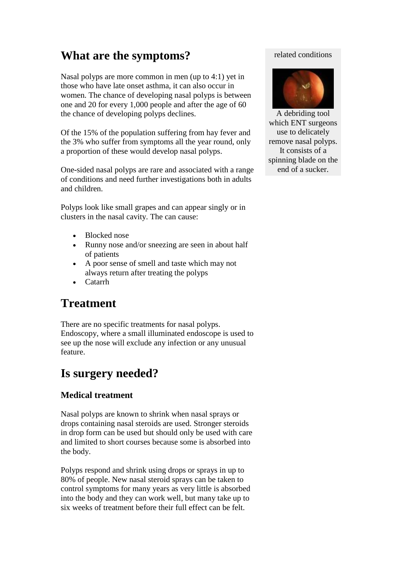# **What are the symptoms?**

Nasal polyps are more common in men (up to 4:1) yet in those who have late onset asthma, it can also occur in women. The chance of developing nasal polyps is between one and 20 for every 1,000 people and after the age of 60 the chance of developing polyps declines.

Of the 15% of the population suffering from hay fever and the 3% who suffer from symptoms all the year round, only a proportion of these would develop nasal polyps.

One-sided nasal polyps are rare and associated with a range of conditions and need further investigations both in adults and children.

Polyps look like small grapes and can appear singly or in clusters in the nasal cavity. The can cause:

- Blocked nose
- Runny nose and/or sneezing are seen in about half of patients
- A poor sense of smell and taste which may not always return after treating the polyps
- Catarrh

# **Treatment**

There are no specific treatments for nasal polyps. Endoscopy, where a small illuminated endoscope is used to see up the nose will exclude any infection or any unusual feature.

### **Is surgery needed?**

#### **Medical treatment**

Nasal polyps are known to shrink when nasal sprays or drops containing nasal steroids are used. Stronger steroids in drop form can be used but should only be used with care and limited to short courses because some is absorbed into the body.

Polyps respond and shrink using drops or sprays in up to 80% of people. New nasal steroid sprays can be taken to control symptoms for many years as very little is absorbed into the body and they can work well, but many take up to six weeks of treatment before their full effect can be felt.

#### related conditions



A debriding tool which ENT surgeons use to delicately remove nasal polyps. It consists of a spinning blade on the end of a sucker.